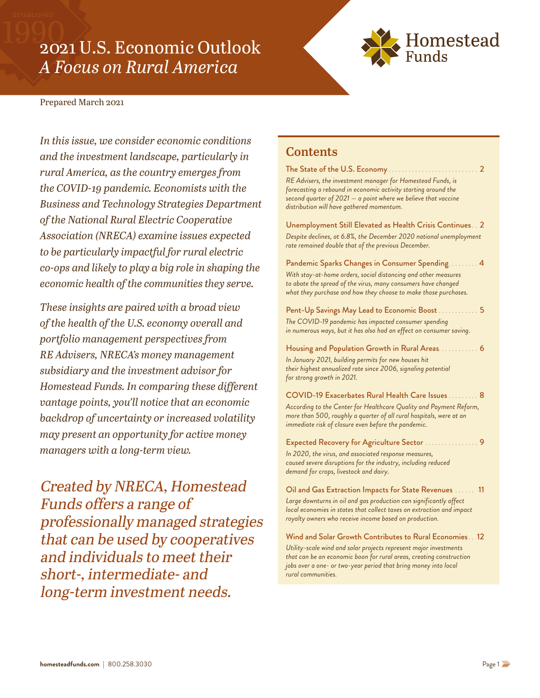# <span id="page-0-0"></span>2021 U.S. Economic Outlook *A Focus on Rural America*



#### Prepared March 2021

*In this issue, we consider economic conditions and the investment landscape, particularly in rural America, as the country emerges from the COVID-19 pandemic. Economists with the Business and Technology Strategies Department of the National Rural Electric Cooperative Association (NRECA) examine issues expected to be particularly impactful for rural electric co-ops and likely to play a big role in shaping the economic health of the communities they serve.* 

*These insights are paired with a broad view of the health of the U.S. economy overall and portfolio management perspectives from RE Advisers, NRECA's money management subsidiary and the investment advisor for Homestead Funds. In comparing these different vantage points, you'll notice that an economic backdrop of uncertainty or increased volatility may present an opportunity for active money managers with a long-term view.*

Created by NRECA, Homestead Funds offers a range of professionally managed strategies that can be used by cooperatives and individuals to meet their short-, intermediate- and long-term investment needs.

#### **Contents**

The State of the U.S. Economy ........................... 2 *RE Advisers, the investment manager for Homestead Funds, is forecasting a rebound in economic activity starting around the [second quarter of 2021 — a point where we believe that vaccine](#page-1-0)  distribution will have gathered momentum.* [Unemployment Still Elevated as Health Crisis Continues. .](#page-1-0) 2 *Despite declines, at 6.8%, the December 2020 national unemployment rate remained double that of the previous December.* [Pandemic Sparks Changes in Consumer Spending.........](#page-3-0) 4 *With stay-at-home orders, social distancing and other measures to abate the spread of the virus, many consumers have changed what they purchase and how they choose to make those purchases.* Pent-Up Savings May Lead to Economic Boost .... *The COVID-19 pandemic has impacted consumer spending [in numerous ways, but it has also had an effect on consumer saving.](#page-4-0)* [Housing and Population Growth in Rural Areas............](#page-5-0) 6 *In January 2021, building permits for new houses hit their highest annualized rate since 2006, signaling potential for strong growth in 2021.* COVID-19 Exacerbates Rural Health Care Issues ......... 8 *[According to the Center for Healthcare Quality and Payment Reform,](#page-7-0)  more than 500, roughly a quarter of all rural hospitals, were at an immediate risk of closure even before the pandemic.* Expected Recovery for Agriculture Sector ................ 9 *In 2020, the virus, and associated response measures, [caused severe disruptions for the industry, including reduced](#page-8-0)  demand for crops, livestock and dairy.*

Oil and Gas Extraction Impacts for State Revenues ...... 11 *Large downturns in oil and gas production can significantly affect [local economies in states that collect taxes on extraction and impact](#page-10-0)  royalty owners who receive income based on production.*

[Wind and Solar Growth Contributes to Rural Economies. .](#page-11-0) 12 *Utility-scale wind and solar projects represent major investments that can be an economic boon for rural areas, creating construction jobs over a one- or two-year period that bring money into local rural communities.*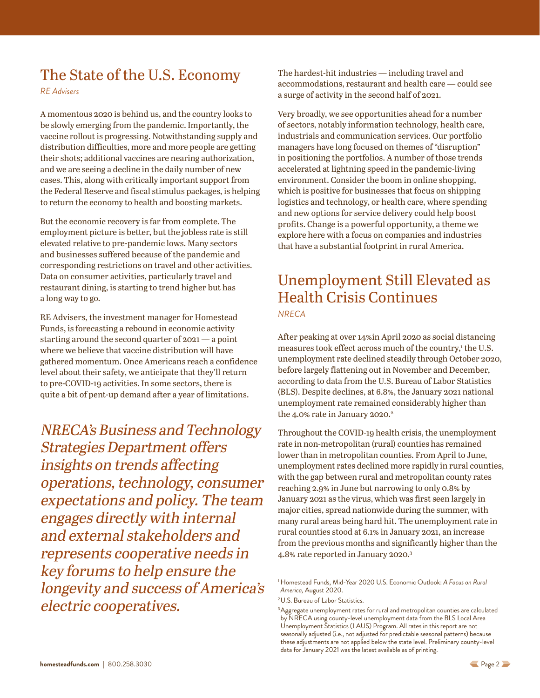# <span id="page-1-0"></span>The State of the U.S. Economy

*RE Advisers*

A momentous 2020 is behind us, and the country looks to be slowly emerging from the pandemic. Importantly, the vaccine rollout is progressing. Notwithstanding supply and distribution difficulties, more and more people are getting their shots; additional vaccines are nearing authorization, and we are seeing a decline in the daily number of new cases. This, along with critically important support from the Federal Reserve and fiscal stimulus packages, is helping to return the economy to health and boosting markets.

But the economic recovery is far from complete. The employment picture is better, but the jobless rate is still elevated relative to pre-pandemic lows. Many sectors and businesses suffered because of the pandemic and corresponding restrictions on travel and other activities. Data on consumer activities, particularly travel and restaurant dining, is starting to trend higher but has a long way to go.

RE Advisers, the investment manager for Homestead Funds, is forecasting a rebound in economic activity starting around the second quarter of 2021 — a point where we believe that vaccine distribution will have gathered momentum. Once Americans reach a confidence level about their safety, we anticipate that they'll return to pre-COVID-19 activities. In some sectors, there is quite a bit of pent-up demand after a year of limitations.

NRECA's Business and Technology Strategies Department offers insights on trends affecting operations, technology, consumer expectations and policy. The team engages directly with internal and external stakeholders and represents cooperative needs in key forums to help ensure the longevity and success of America's electric cooperatives.

The hardest-hit industries — including travel and accommodations, restaurant and health care — could see a surge of activity in the second half of 2021.

Very broadly, we see opportunities ahead for a number of sectors, notably information technology, health care, industrials and communication services. Our portfolio managers have long focused on themes of "disruption" in positioning the portfolios. A number of those trends accelerated at lightning speed in the pandemic-living environment. Consider the boom in online shopping, which is positive for businesses that focus on shipping logistics and technology, or health care, where spending and new options for service delivery could help boost profits. Change is a powerful opportunity, a theme we explore here with a focus on companies and industries that have a substantial footprint in rural America.

### Unemployment Still Elevated as Health Crisis Continues *NRECA*

After peaking at over 14%in April 2020 as social distancing measures took effect across much of the country,<sup>1</sup> the U.S. unemployment rate declined steadily through October 2020, before largely flattening out in November and December, according to data from the U.S. Bureau of Labor Statistics (BLS). Despite declines, at 6.8%, the January 2021 national unemployment rate remained considerably higher than the 4.0% rate in January 2020.<sup>2</sup>

Throughout the COVID-19 health crisis, the unemployment rate in non-metropolitan (rural) counties has remained lower than in metropolitan counties. From April to June, unemployment rates declined more rapidly in rural counties, with the gap between rural and metropolitan county rates reaching 2.9% in June but narrowing to only 0.8% by January 2021 as the virus, which was first seen largely in major cities, spread nationwide during the summer, with many rural areas being hard hit. The unemployment rate in rural counties stood at 6.1% in January 2021, an increase from the previous months and significantly higher than the 4.8% rate reported in January 2020.3

<sup>1</sup> Homestead Funds, Mid-Year 2020 U.S. Economic Outlook: *A Focus on Rural America,* August 2020.

<sup>2</sup>U.S. Bureau of Labor Statistics.

<sup>&</sup>lt;sup>3</sup>Aggregate unemployment rates for rural and metropolitan counties are calculated by NRECA using county-level unemployment data from the BLS Local Area Unemployment Statistics (LAUS) Program. All rates in this report are not seasonally adjusted (i.e., not adjusted for predictable seasonal patterns) because these adjustments are not applied below the state level. Preliminary county-level data for January 2021 was the latest available as of printing.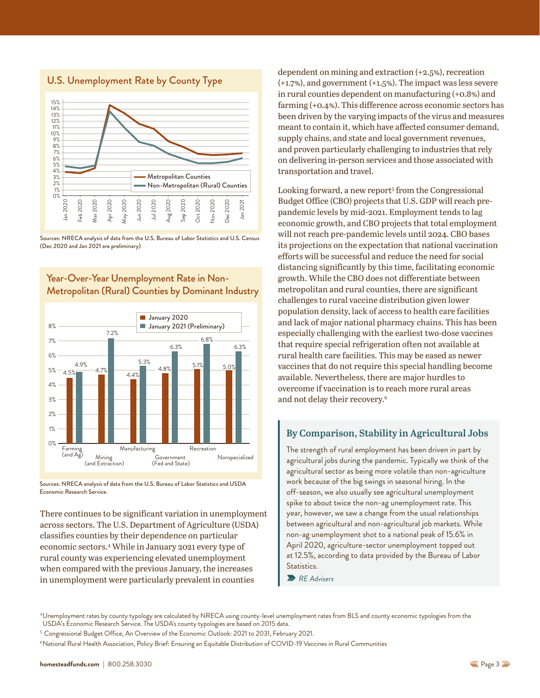<span id="page-2-0"></span>





Year-Over-Year Unemployment Rate in Non-Metropolitan (Rural) Counties by Dominant Industry

Sources: NRECA analysis of data from the U.S. Bureau of Labor Statistics and USDA Economic Research Service.

There continues to be significant variation in unemployment across sectors. The U.S. Department of Agriculture (USDA) classifies counties by their dependence on particular economic sectors.4 While in January 2021 every type of rural county was experiencing elevated unemployment when compared with the previous January, the increases in unemployment were particularly prevalent in counties

dependent on mining and extraction (+2.5%), recreation (+1.7%), and government (+1.5%). The impact was less severe in rural counties dependent on manufacturing (+0.8%) and farming (+0.4%). This difference across economic sectors has been driven by the varying impacts of the virus and measures meant to contain it, which have affected consumer demand, supply chains, and state and local government revenues, and proven particularly challenging to industries that rely on delivering in-person services and those associated with transportation and travel.

Looking forward, a new report<sup>5</sup> from the Congressional Budget Office (CBO) projects that U.S. GDP will reach prepandemic levels by mid-2021. Employment tends to lag economic growth, and CBO projects that total employment will not reach pre-pandemic levels until 2024. CBO bases its projections on the expectation that national vaccination efforts will be successful and reduce the need for social distancing significantly by this time, facilitating economic growth. While the CBO does not differentiate between metropolitan and rural counties, there are significant challenges to rural vaccine distribution given lower population density, lack of access to health care facilities and lack of major national pharmacy chains. This has been especially challenging with the earliest two-dose vaccines that require special refrigeration often not available at rural health care facilities. This may be eased as newer vaccines that do not require this special handling become available. Nevertheless, there are major hurdles to overcome if vaccination is to reach more rural areas and not delay their recovery.<sup>6</sup>

#### **By Comparison, Stability in Agricultural Jobs**

The strength of rural employment has been driven in part by agricultural jobs during the pandemic. Typically we think of the agricultural sector as being more volatile than non-agriculture work because of the big swings in seasonal hiring. In the off-season, we also usually see agricultural unemployment spike to about twice the non-ag unemployment rate. This year, however, we saw a change from the usual relationships between agricultural and non-agricultural job markets. While non-ag unemployment shot to a national peak of 15.6% in April 2020, agriculture-sector unemployment topped out at 12.5%, according to data provided by the Bureau of Labor Statistics.

*RE Advisers*

<sup>4</sup>Unemployment rates by county typology are calculated by NRECA using county-level unemployment rates from BLS and county economic typologies from the USDA's Economic Research Service. The USDA's county typologies are based on 2015 data.

<sup>5</sup> Congressional Budget Office, An Overview of the Economic Outlook: 2021 to 2031, February 2021.

<sup>&</sup>lt;sup>6</sup>National Rural Health Association, Policy Brief: Ensuring an Equitable Distribution of COVID-19 Vaccines in Rural Communities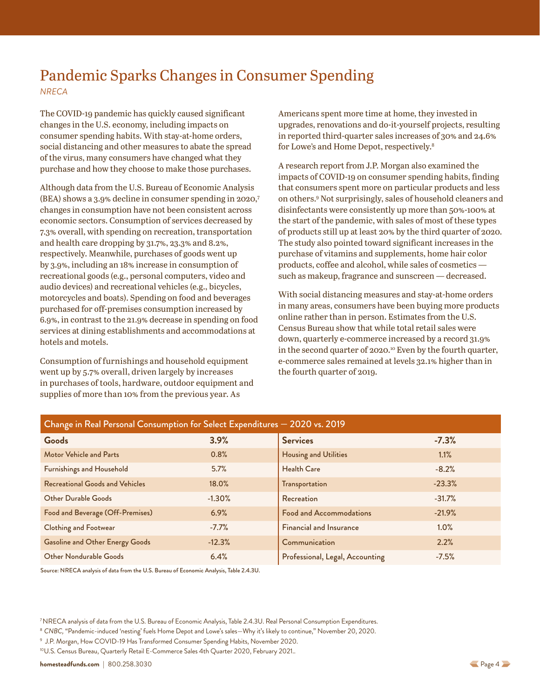# <span id="page-3-0"></span>Pandemic Sparks Changes in Consumer Spending

*NRECA*

The COVID-19 pandemic has quickly caused significant changes in the U.S. economy, including impacts on consumer spending habits. With stay-at-home orders, social distancing and other measures to abate the spread of the virus, many consumers have changed what they purchase and how they choose to make those purchases.

Although data from the U.S. Bureau of Economic Analysis (BEA) shows a 3.9% decline in consumer spending in 2020,7 changes in consumption have not been consistent across economic sectors. Consumption of services decreased by 7.3% overall, with spending on recreation, transportation and health care dropping by 31.7%, 23.3% and 8.2%, respectively. Meanwhile, purchases of goods went up by 3.9%, including an 18% increase in consumption of recreational goods (e.g., personal computers, video and audio devices) and recreational vehicles (e.g., bicycles, motorcycles and boats). Spending on food and beverages purchased for off-premises consumption increased by 6.9%, in contrast to the 21.9% decrease in spending on food services at dining establishments and accommodations at hotels and motels.

Consumption of furnishings and household equipment went up by 5.7% overall, driven largely by increases in purchases of tools, hardware, outdoor equipment and supplies of more than 10% from the previous year. As

Americans spent more time at home, they invested in upgrades, renovations and do-it-yourself projects, resulting in reported third-quarter sales increases of 30% and 24.6% for Lowe's and Home Depot, respectively.<sup>8</sup>

A research report from J.P. Morgan also examined the impacts of COVID-19 on consumer spending habits, finding that consumers spent more on particular products and less on others.9 Not surprisingly, sales of household cleaners and disinfectants were consistently up more than 50%-100% at the start of the pandemic, with sales of most of these types of products still up at least 20% by the third quarter of 2020. The study also pointed toward significant increases in the purchase of vitamins and supplements, home hair color products, coffee and alcohol, while sales of cosmetics such as makeup, fragrance and sunscreen — decreased.

With social distancing measures and stay-at-home orders in many areas, consumers have been buying more products online rather than in person. Estimates from the U.S. Census Bureau show that while total retail sales were down, quarterly e-commerce increased by a record 31.9% in the second quarter of  $2020$ .<sup>10</sup> Even by the fourth quarter, e-commerce sales remained at levels 32.1% higher than in the fourth quarter of 2019.

| Change in Real Personal Consumption for Select Expenditures - 2020 vs. 2019 |          |                                 |          |
|-----------------------------------------------------------------------------|----------|---------------------------------|----------|
| Goods                                                                       | 3.9%     | <b>Services</b>                 | $-7.3%$  |
| <b>Motor Vehicle and Parts</b>                                              | 0.8%     | <b>Housing and Utilities</b>    | 1.1%     |
| <b>Furnishings and Household</b>                                            | 5.7%     | <b>Health Care</b>              | $-8.2%$  |
| <b>Recreational Goods and Vehicles</b>                                      | 18.0%    | Transportation                  | $-23.3%$ |
| <b>Other Durable Goods</b>                                                  | $-1.30%$ | Recreation                      | $-31.7%$ |
| Food and Beverage (Off-Premises)                                            | 6.9%     | <b>Food and Accommodations</b>  | $-21.9%$ |
| <b>Clothing and Footwear</b>                                                | $-7.7%$  | <b>Financial and Insurance</b>  | 1.0%     |
| <b>Gasoline and Other Energy Goods</b>                                      | $-12.3%$ | Communication                   | 2.2%     |
| Other Nondurable Goods                                                      | 6.4%     | Professional, Legal, Accounting | $-7.5%$  |

Source: NRECA analysis of data from the U.S. Bureau of Economic Analysis, Table 2.4.3U.

7NRECA analysis of data from the U.S. Bureau of Economic Analysis, Table 2.4.3U. Real Personal Consumption Expenditures.

<sup>8</sup> *CNBC,* "Pandemic-induced 'nesting' fuels Home Depot and Lowe's sales—Why it's likely to continue," November 20, 2020.

<sup>9</sup> J.P. Morgan, How COVID-19 Has Transformed Consumer Spending Habits, November 2020.

10U.S. Census Bureau, Quarterly Retail E-Commerce Sales 4th Quarter 2020, February 2021..

**[homesteadfunds.com](https://www.homesteadfunds.com/)** | 800.258.3030 [P](#page-2-0)age 4 Page 4 Page 4 Page 4 Page 4 Page 4 Page 4 Page 4 Page 4 Page 4 Page 4 Page 4 Page 4 Page 4 Page 4 Page 4 Page 4 Page 4 Page 4 Page 4 Page 4 Page 4 Page 4 Page 4 Page 4 Page 4 Page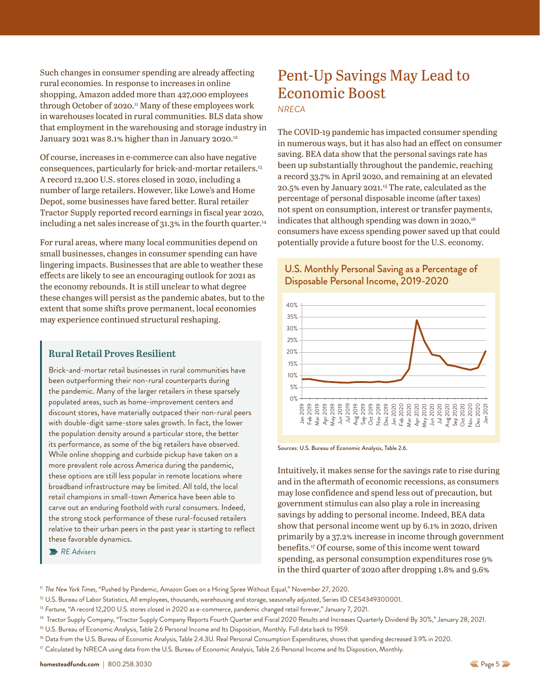<span id="page-4-0"></span>Such changes in consumer spending are already affecting rural economies. In response to increases in online shopping, Amazon added more than 427,000 employees through October of 2020.<sup>11</sup> Many of these employees work in warehouses located in rural communities. BLS data show that employment in the warehousing and storage industry in January 2021 was 8.1% higher than in January 2020.<sup>12</sup>

Of course, increases in e-commerce can also have negative consequences, particularly for brick-and-mortar retailers.<sup>13</sup> A record 12,200 U.S. stores closed in 2020, including a number of large retailers. However, like Lowe's and Home Depot, some businesses have fared better. Rural retailer Tractor Supply reported record earnings in fiscal year 2020, including a net sales increase of  $31.3\%$  in the fourth quarter.<sup>14</sup>

For rural areas, where many local communities depend on small businesses, changes in consumer spending can have lingering impacts. Businesses that are able to weather these effects are likely to see an encouraging outlook for 2021 as the economy rebounds. It is still unclear to what degree these changes will persist as the pandemic abates, but to the extent that some shifts prove permanent, local economies may experience continued structural reshaping.

### **Rural Retail Proves Resilient**

Brick-and-mortar retail businesses in rural communities have been outperforming their non-rural counterparts during the pandemic. Many of the larger retailers in these sparsely populated areas, such as home-improvement centers and discount stores, have materially outpaced their non-rural peers with double-digit same-store sales growth. In fact, the lower the population density around a particular store, the better its performance, as some of the big retailers have observed. While online shopping and curbside pickup have taken on a more prevalent role across America during the pandemic, these options are still less popular in remote locations where broadband infrastructure may be limited. All told, the local retail champions in small-town America have been able to carve out an enduring foothold with rural consumers. Indeed, the strong stock performance of these rural-focused retailers relative to their urban peers in the past year is starting to reflect these favorable dynamics.

*RE Advisers*

# Pent-Up Savings May Lead to Economic Boost

*NRECA*

The COVID-19 pandemic has impacted consumer spending in numerous ways, but it has also had an effect on consumer saving. BEA data show that the personal savings rate has been up substantially throughout the pandemic, reaching a record 33.7% in April 2020, and remaining at an elevated 20.5% even by January 2021.15 The rate, calculated as the percentage of personal disposable income (after taxes) not spent on consumption, interest or transfer payments, indicates that although spending was down in  $2020$ ,<sup>16</sup> consumers have excess spending power saved up that could potentially provide a future boost for the U.S. economy.





Sources: U.S. Bureau of Economic Analysis, Table 2.6.

Intuitively, it makes sense for the savings rate to rise during and in the aftermath of economic recessions, as consumers may lose confidence and spend less out of precaution, but government stimulus can also play a role in increasing savings by adding to personal income. Indeed, BEA data show that personal income went up by 6.1% in 2020, driven primarily by a 37.2% increase in income through government benefits.17 Of course, some of this income went toward spending, as personal consumption expenditures rose 9% in the third quarter of 2020 after dropping 1.8% and 9.6%

- <sup>11</sup> *The New York Times,* "Pushed by Pandemic, Amazon Goes on a Hiring Spree Without Equal," November 27, 2020.
- <sup>12</sup> U.S. Bureau of Labor Statistics, All employees, thousands, warehousing and storage, seasonally adjusted, Series ID CES4349300001.
- <sup>13</sup> Fortune, "A record 12,200 U.S. stores closed in 2020 as e-commerce, pandemic changed retail forever," January 7, 2021.

- <sup>15</sup> U.S. Bureau of Economic Analysis, Table 2.6 Personal Income and Its Disposition, Monthly. Full data back to 1959.
- <sup>16</sup> Data from the U.S. Bureau of Economic Analysis, Table 2.4.3U. Real Personal Consumption Expenditures, shows that spending decreased 3.9% in 2020.
- 

<sup>&</sup>lt;sup>14</sup> Tractor Supply Company, "Tractor Supply Company Reports Fourth Quarter and Fiscal 2020 Results and Increases Quarterly Dividend By 30%," January 28, 2021.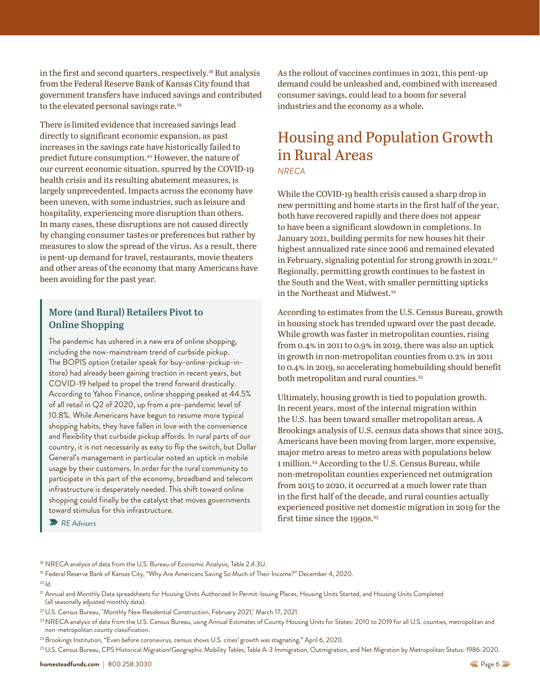<span id="page-5-0"></span>in the first and second quarters, respectively.<sup>18</sup> But analysis from the Federal Reserve Bank of Kansas City found that government transfers have induced savings and contributed to the elevated personal savings rate.<sup>19</sup>

There is limited evidence that increased savings lead directly to significant economic expansion, as past increases in the savings rate have historically failed to predict future consumption.20 However, the nature of our current economic situation, spurred by the COVID-19 health crisis and its resulting abatement measures, is largely unprecedented. Impacts across the economy have been uneven, with some industries, such as leisure and hospitality, experiencing more disruption than others. In many cases, these disruptions are not caused directly by changing consumer tastes or preferences but rather by measures to slow the spread of the virus. As a result, there is pent-up demand for travel, restaurants, movie theaters and other areas of the economy that many Americans have been avoiding for the past year.

#### **More (and Rural) Retailers Pivot to Online Shopping**

The pandemic has ushered in a new era of online shopping, including the now-mainstream trend of curbside pickup. The BOPIS option (retailer speak for buy-online-pickup-instore) had already been gaining traction in recent years, but COVID-19 helped to propel the trend forward drastically. According to Yahoo Finance, online shopping peaked at 44.5% of all retail in Q2 of 2020, up from a pre-pandemic level of 10.8%. While Americans have begun to resume more typical shopping habits, they have fallen in love with the convenience and flexibility that curbside pickup affords. In rural parts of our country, it is not necessarily as easy to flip the switch, but Dollar General's management in particular noted an uptick in mobile usage by their customers. In order for the rural community to participate in this part of the economy, broadband and telecom infrastructure is desperately needed. This shift toward online shopping could finally be the catalyst that moves governments toward stimulus for this infrastructure.

*RE Advisers*

As the rollout of vaccines continues in 2021, this pent-up demand could be unleashed and, combined with increased consumer savings, could lead to a boom for several industries and the economy as a whole.

# Housing and Population Growth in Rural Areas

*NRECA*

While the COVID-19 health crisis caused a sharp drop in new permitting and home starts in the first half of the year, both have recovered rapidly and there does not appear to have been a significant slowdown in completions. In January 2021, building permits for new houses hit their highest annualized rate since 2006 and remained elevated in February, signaling potential for strong growth in  $2021$ .<sup>21</sup> Regionally, permitting growth continues to be fastest in the South and the West, with smaller permitting upticks in the Northeast and Midwest.22

According to estimates from the U.S. Census Bureau, growth in housing stock has trended upward over the past decade. While growth was faster in metropolitan counties, rising from 0.4% in 2011 to 0.9% in 2019, there was also an uptick in growth in non-metropolitan counties from 0.2% in 2011 to 0.4% in 2019, so accelerating homebuilding should benefit both metropolitan and rural counties.<sup>23</sup>

Ultimately, housing growth is tied to population growth. In recent years, most of the internal migration within the U.S. has been toward smaller metropolitan areas. A Brookings analysis of U.S. census data shows that since 2015, Americans have been moving from larger, more expensive, major metro areas to metro areas with populations below 1 million.24 According to the U.S. Census Bureau, while non-metropolitan counties experienced net outmigration from 2015 to 2020, it occurred at a much lower rate than in the first half of the decade, and rural counties actually experienced positive net domestic migration in 2019 for the first time since the  $1990s.^{25}$ 

<sup>18</sup> NRECA analysis of data from the U.S. Bureau of Economic Analysis, Table 2.4.3U.

<sup>19</sup> Federal Reserve Bank of Kansas City, "Why Are Americans Saving So Much of Their Income?" December 4, 2020.

<sup>20</sup>*Id.*

<sup>&</sup>lt;sup>21</sup> Annual and Monthly Data spreadsheets for Housing Units Authorized In Permit-Issuing Places, Housing Units Started, and Housing Units Completed (all seasonally adjusted monthly data).

<sup>22</sup>U.S. Census Bureau, "Monthly New Residential Construction, February 2021," March 17, 2021.

<sup>&</sup>lt;sup>23</sup> NRECA analysis of data from the U.S. Census Bureau, using Annual Estimates of County Housing Units for States: 2010 to 2019 for all U.S. counties, metropolitan and non-metropolitan county classification.

<sup>&</sup>lt;sup>24</sup> Brookings Institution, "Even before coronavirus, census shows U.S. cities' growth was stagnating," April 6, 2020.

<sup>25</sup>U.S. Census Bureau, CPS Historical Migration/Geographic Mobility Tables, Table A-3 Immigration, Outmigration, and Net Migration by Metropolitan Status: 1986-2020.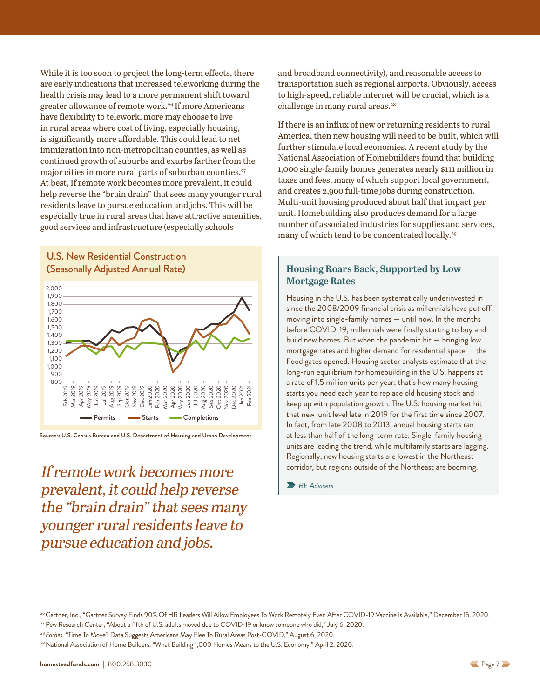<span id="page-6-0"></span>While it is too soon to project the long-term effects, there are early indications that increased teleworking during the health crisis may lead to a more permanent shift toward greater allowance of remote work.26 If more Americans have flexibility to telework, more may choose to live in rural areas where cost of living, especially housing, is significantly more affordable. This could lead to net immigration into non-metropolitan counties, as well as continued growth of suburbs and exurbs farther from the major cities in more rural parts of suburban counties.<sup>27</sup> At best, If remote work becomes more prevalent, it could help reverse the "brain drain" that sees many younger rural residents leave to pursue education and jobs. This will be especially true in rural areas that have attractive amenities, good services and infrastructure (especially schools

#### U.S. New Residential Construction (Seasonally Adjusted Annual Rate)



Sources: U.S. Census Bureau and U.S. Department of Housing and Urban Development.

If remote work becomes more prevalent, it could help reverse the "brain drain" that sees many younger rural residents leave to pursue education and jobs.

and broadband connectivity), and reasonable access to transportation such as regional airports. Obviously, access to high-speed, reliable internet will be crucial, which is a challenge in many rural areas.<sup>28</sup>

If there is an influx of new or returning residents to rural America, then new housing will need to be built, which will further stimulate local economies. A recent study by the National Association of Homebuilders found that building 1,000 single-family homes generates nearly \$111 million in taxes and fees, many of which support local government, and creates 2,900 full-time jobs during construction. Multi-unit housing produced about half that impact per unit. Homebuilding also produces demand for a large number of associated industries for supplies and services, many of which tend to be concentrated locally.<sup>29</sup>

#### **Housing Roars Back, Supported by Low Mortgage Rates**

Housing in the U.S. has been systematically underinvested in since the 2008/2009 financial crisis as millennials have put off moving into single-family homes — until now. In the months before COVID-19, millennials were finally starting to buy and build new homes. But when the pandemic hit — bringing low mortgage rates and higher demand for residential space — the flood gates opened. Housing sector analysts estimate that the long-run equilibrium for homebuilding in the U.S. happens at a rate of 1.5 million units per year; that's how many housing starts you need each year to replace old housing stock and keep up with population growth. The U.S. housing market hit that new-unit level late in 2019 for the first time since 2007. In fact, from late 2008 to 2013, annual housing starts ran at less than half of the long-term rate. Single-family housing units are leading the trend, while multifamily starts are lagging. Regionally, new housing starts are lowest in the Northeast corridor, but regions outside of the Northeast are booming.

*RE Advisers*

<sup>28</sup> *Forbes,* "Time To Move? Data Suggests Americans May Flee To Rural Areas Post-COVID," August 6, 2020.

<sup>29</sup> National Association of Home Builders, "What Building 1,000 Homes Means to the U.S. Economy," April 2, 2020.

<sup>&</sup>lt;sup>26</sup> Gartner, Inc., "Gartner Survey Finds 90% Of HR Leaders Will Allow Employees To Work Remotely Even After COVID-19 Vaccine Is Available," December 15, 2020. <sup>27</sup> Pew Research Center, "About a fifth of U.S. adults moved due to COVID-19 or know someone who did," July 6, 2020.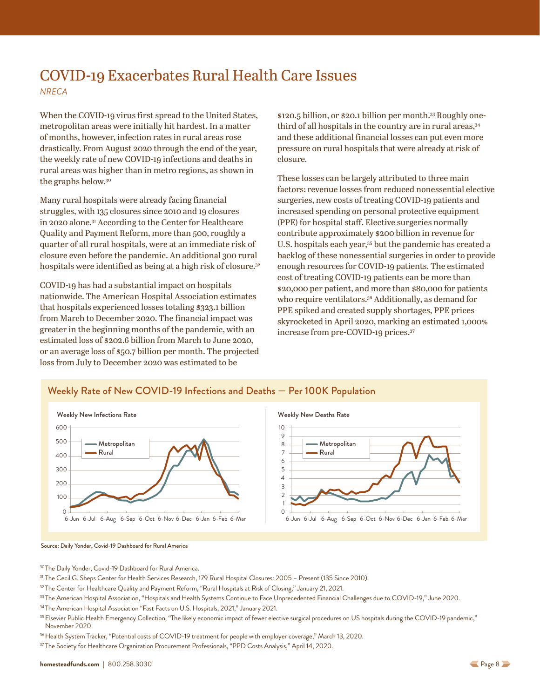## <span id="page-7-0"></span>COVID-19 Exacerbates Rural Health Care Issues *NRECA*

When the COVID-19 virus first spread to the United States, metropolitan areas were initially hit hardest. In a matter of months, however, infection rates in rural areas rose drastically. From August 2020 through the end of the year, the weekly rate of new COVID-19 infections and deaths in rural areas was higher than in metro regions, as shown in the graphs below.30

Many rural hospitals were already facing financial struggles, with 135 closures since 2010 and 19 closures in 2020 alone.31 According to the Center for Healthcare Quality and Payment Reform, more than 500, roughly a quarter of all rural hospitals, were at an immediate risk of closure even before the pandemic. An additional 300 rural hospitals were identified as being at a high risk of closure.<sup>32</sup>

COVID-19 has had a substantial impact on hospitals nationwide. The American Hospital Association estimates that hospitals experienced losses totaling \$323.1 billion from March to December 2020. The financial impact was greater in the beginning months of the pandemic, with an estimated loss of \$202.6 billion from March to June 2020, or an average loss of \$50.7 billion per month. The projected loss from July to December 2020 was estimated to be

\$120.5 billion, or \$20.1 billion per month.33 Roughly onethird of all hospitals in the country are in rural areas, 34 and these additional financial losses can put even more pressure on rural hospitals that were already at risk of closure.

These losses can be largely attributed to three main factors: revenue losses from reduced nonessential elective surgeries, new costs of treating COVID-19 patients and increased spending on personal protective equipment (PPE) for hospital staff. Elective surgeries normally contribute approximately \$200 billion in revenue for U.S. hospitals each year,<sup>35</sup> but the pandemic has created a backlog of these nonessential surgeries in order to provide enough resources for COVID-19 patients. The estimated cost of treating COVID-19 patients can be more than \$20,000 per patient, and more than \$80,000 for patients who require ventilators.<sup>36</sup> Additionally, as demand for PPE spiked and created supply shortages, PPE prices skyrocketed in April 2020, marking an estimated 1,000% increase from pre-COVID-19 prices.37

#### Weekly Rate of New COVID-19 Infections and Deaths — Per 100K Population





#### Source: Daily Yonder, Covid-19 Dashboard for Rural America

30The Daily Yonder, Covid-19 Dashboard for Rural America.

- <sup>31</sup> The Cecil G. Sheps Center for Health Services Research, 179 Rural Hospital Closures: 2005 Present (135 Since 2010).
- <sup>32</sup> The Center for Healthcare Quality and Payment Reform, "Rural Hospitals at Risk of Closing," January 21, 2021.
- <sup>33</sup> The American Hospital Association, "Hospitals and Health Systems Continue to Face Unprecedented Financial Challenges due to COVID-19," June 2020.
- <sup>34</sup> The American Hospital Association "Fast Facts on U.S. Hospitals, 2021," January 2021.
- <sup>35</sup> Elsevier Public Health Emergency Collection, "The likely economic impact of fewer elective surgical procedures on US hospitals during the COVID-19 pandemic," November 2020.
- <sup>36</sup> Health System Tracker, "Potential costs of COVID-19 treatment for people with employer coverage," March 13, 2020.
- <sup>37</sup> The Society for Healthcare Organization Procurement Professionals, "PPD Costs Analysis," April 14, 2020.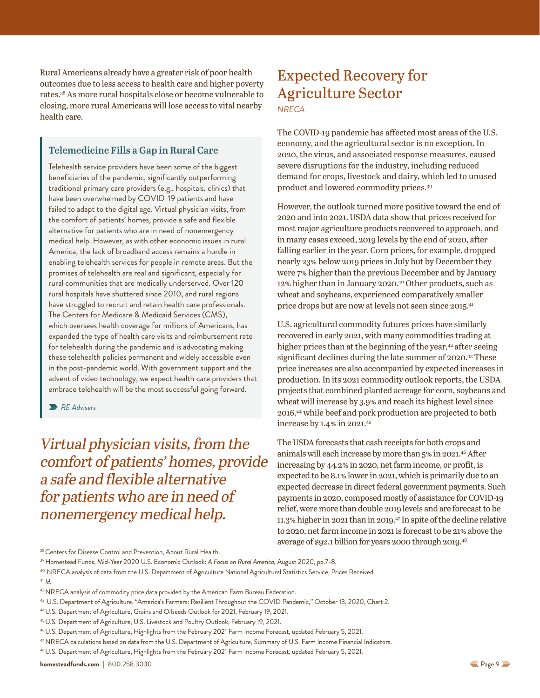<span id="page-8-0"></span>Rural Americans already have a greater risk of poor health outcomes due to less access to health care and higher poverty rates.38 As more rural hospitals close or become vulnerable to closing, more rural Americans will lose access to vital nearby health care.

#### **Telemedicine Fills a Gap in Rural Care**

Telehealth service providers have been some of the biggest beneficiaries of the pandemic, significantly outperforming traditional primary care providers (e.g., hospitals, clinics) that have been overwhelmed by COVID-19 patients and have failed to adapt to the digital age. Virtual physician visits, from the comfort of patients' homes, provide a safe and flexible alternative for patients who are in need of nonemergency medical help. However, as with other economic issues in rural America, the lack of broadband access remains a hurdle in enabling telehealth services for people in remote areas. But the promises of telehealth are real and significant, especially for rural communities that are medically underserved. Over 120 rural hospitals have shuttered since 2010, and rural regions have struggled to recruit and retain health care professionals. The Centers for Medicare & Medicaid Services (CMS), which oversees health coverage for millions of Americans, has expanded the type of health care visits and reimbursement rate for telehealth during the pandemic and is advocating making these telehealth policies permanent and widely accessible even in the post-pandemic world. With government support and the advent of video technology, we expect health care providers that embrace telehealth will be the most successful going forward.

*RE Advisers*

Virtual physician visits, from the comfort of patients' homes, provide a safe and flexible alternative for patients who are in need of nonemergency medical help.

### Expected Recovery for Agriculture Sector *NRECA*

The COVID-19 pandemic has affected most areas of the U.S. economy, and the agricultural sector is no exception. In 2020, the virus, and associated response measures, caused severe disruptions for the industry, including reduced demand for crops, livestock and dairy, which led to unused product and lowered commodity prices.39

However, the outlook turned more positive toward the end of 2020 and into 2021. USDA data show that prices received for most major agriculture products recovered to approach, and in many cases exceed, 2019 levels by the end of 2020, after falling earlier in the year. Corn prices, for example, dropped nearly 23% below 2019 prices in July but by December they were 7% higher than the previous December and by January 12% higher than in January 2020.40 Other products, such as wheat and soybeans, experienced comparatively smaller price drops but are now at levels not seen since 2015.<sup>41</sup>

U.S. agricultural commodity futures prices have similarly recovered in early 2021, with many commodities trading at higher prices than at the beginning of the year,<sup>42</sup> after seeing significant declines during the late summer of 2020.43 These price increases are also accompanied by expected increases in production. In its 2021 commodity outlook reports, the USDA projects that combined planted acreage for corn, soybeans and wheat will increase by 3.9% and reach its highest level since 2016,44 while beef and pork production are projected to both increase by 1.4% in 2021.45

The USDA forecasts that cash receipts for both crops and animals will each increase by more than 5% in 2021.46 After increasing by 44.2% in 2020, net farm income, or profit, is expected to be 8.1% lower in 2021, which is primarily due to an expected decrease in direct federal government payments. Such payments in 2020, composed mostly of assistance for COVID-19 relief, were more than double 2019 levels and are forecast to be 11.3% higher in 2021 than in 2019.47 In spite of the decline relative to 2020, net farm income in 2021 is forecast to be 21% above the average of \$92.1 billion for years 2000 through 2019.48

40 NRECA analysis of data from the U.S. Department of Agriculture National Agricultural Statistics Service, Prices Received.

**[homesteadfunds.com](https://www.homesteadfunds.com/)** | 800.258.3030 [P](#page-7-0)age 9 Page 9 Page 9 Page 9 Page 9 Page 9 Page 9 Page 9 Page 9 Page 9 Page 9 Page 9 Page 9 Page 9 Page 9 Page 9 Page 9 Page 9 Page 9 Page 9 Page 9 Page 9 Page 9 Page 9 Page 9 Page 9 Page

<sup>&</sup>lt;sup>38</sup> Centers for Disease Control and Prevention, About Rural Health.

<sup>39</sup>Homestead Funds, Mid-Year 2020 U.S. Economic Outlook: *A Focus on Rural America,* August 2020, pp.7-8,

<sup>41</sup> *Id.*

<sup>&</sup>lt;sup>42</sup> NRECA analysis of commodity price data provided by the American Farm Bureau Federation.

<sup>43</sup> U.S. Department of Agriculture, "America's Farmers: Resilient Throughout the COVID Pandemic," October 13, 2020, Chart 2.

<sup>44</sup>U.S. Department of Agriculture, Grains and Oilseeds Outlook for 2021, February 19, 2021.

<sup>45</sup>U.S. Department of Agriculture, U.S. Livestock and Poultry Outlook, February 19, 2021.

<sup>46</sup>U.S. Department of Agriculture, Highlights from the February 2021 Farm Income Forecast, updated February 5, 2021.

<sup>47</sup>NRECA calculations based on data from the U.S. Department of Agriculture, Summary of U.S. Farm Income Financial Indicators.

<sup>48</sup>U.S. Department of Agriculture, Highlights from the February 2021 Farm Income Forecast, updated February 5, 2021.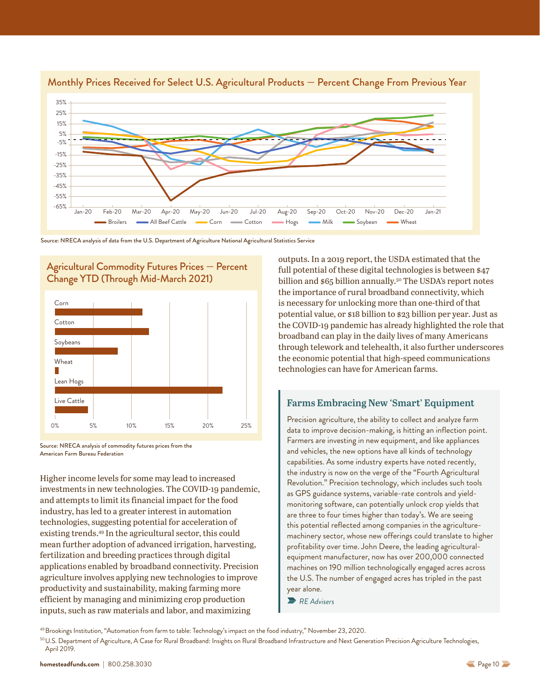



Source: NRECA analysis of data from the U.S. Department of Agriculture National Agricultural Statistics Service





Source: NRECA analysis of commodity futures prices from the American Farm Bureau Federation

Higher income levels for some may lead to increased investments in new technologies. The COVID-19 pandemic, and attempts to limit its financial impact for the food industry, has led to a greater interest in automation technologies, suggesting potential for acceleration of existing trends.49 In the agricultural sector, this could mean further adoption of advanced irrigation, harvesting, fertilization and breeding practices through digital applications enabled by broadband connectivity. Precision agriculture involves applying new technologies to improve productivity and sustainability, making farming more efficient by managing and minimizing crop production inputs, such as raw materials and labor, and maximizing

outputs. In a 2019 report, the USDA estimated that the full potential of these digital technologies is between \$47 billion and \$65 billion annually.<sup>50</sup> The USDA's report notes the importance of rural broadband connectivity, which is necessary for unlocking more than one-third of that potential value, or \$18 billion to \$23 billion per year. Just as the COVID-19 pandemic has already highlighted the role that broadband can play in the daily lives of many Americans through telework and telehealth, it also further underscores the economic potential that high-speed communications technologies can have for American farms.

#### **Farms Embracing New 'Smart' Equipment**

Precision agriculture, the ability to collect and analyze farm data to improve decision-making, is hitting an inflection point. Farmers are investing in new equipment, and like appliances and vehicles, the new options have all kinds of technology capabilities. As some industry experts have noted recently, the industry is now on the verge of the "Fourth Agricultural Revolution." Precision technology, which includes such tools as GPS guidance systems, variable-rate controls and yieldmonitoring software, can potentially unlock crop yields that are three to four times higher than today's. We are seeing this potential reflected among companies in the agriculturemachinery sector, whose new offerings could translate to higher profitability over time. John Deere, the leading agriculturalequipment manufacturer, now has over 200,000 connected machines on 190 million technologically engaged acres across the U.S. The number of engaged acres has tripled in the past year alone.

*RE Advisers*

49Brookings Institution, "Automation from farm to table: Technology's impact on the food industry," November 23, 2020.

<sup>&</sup>lt;sup>50</sup>U.S. Department of Agriculture, A Case for Rural Broadband: Insights on Rural Broadband Infrastructure and Next Generation Precision Agriculture Technologies, April 2019.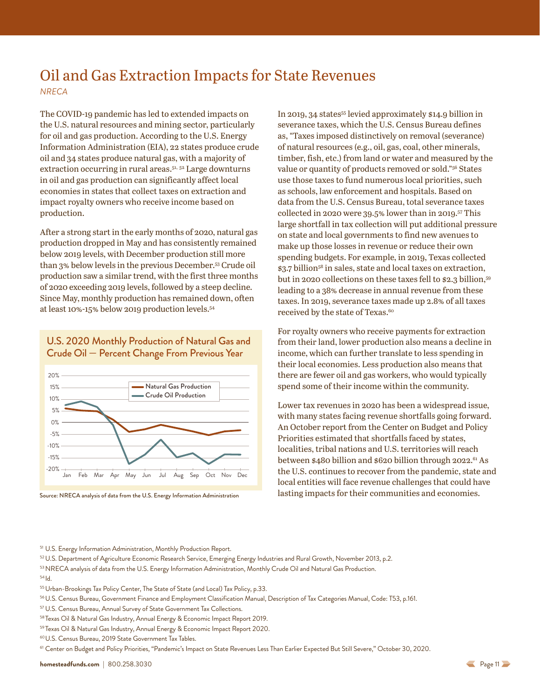### <span id="page-10-0"></span>Oil and Gas Extraction Impacts for State Revenues *NRECA*

The COVID-19 pandemic has led to extended impacts on the U.S. natural resources and mining sector, particularly for oil and gas production. According to the U.S. Energy Information Administration (EIA), 22 states produce crude oil and 34 states produce natural gas, with a majority of extraction occurring in rural areas.<sup>51, 52</sup> Large downturns in oil and gas production can significantly affect local economies in states that collect taxes on extraction and impact royalty owners who receive income based on production.

After a strong start in the early months of 2020, natural gas production dropped in May and has consistently remained below 2019 levels, with December production still more than 3% below levels in the previous December.53 Crude oil production saw a similar trend, with the first three months of 2020 exceeding 2019 levels, followed by a steep decline. Since May, monthly production has remained down, often at least 10%-15% below 2019 production levels.54

U.S. 2020 Monthly Production of Natural Gas and Crude Oil — Percent Change From Previous Year



In 2019, 34 states<sup>55</sup> levied approximately \$14.9 billion in severance taxes, which the U.S. Census Bureau defines as, "Taxes imposed distinctively on removal (severance) of natural resources (e.g., oil, gas, coal, other minerals, timber, fish, etc.) from land or water and measured by the value or quantity of products removed or sold."56 States use those taxes to fund numerous local priorities, such as schools, law enforcement and hospitals. Based on data from the U.S. Census Bureau, total severance taxes collected in 2020 were 39.5% lower than in 2019.57 This large shortfall in tax collection will put additional pressure on state and local governments to find new avenues to make up those losses in revenue or reduce their own spending budgets. For example, in 2019, Texas collected \$3.7 billion<sup>58</sup> in sales, state and local taxes on extraction, but in 2020 collections on these taxes fell to \$2.3 billion,59 leading to a 38% decrease in annual revenue from these taxes. In 2019, severance taxes made up 2.8% of all taxes received by the state of Texas.<sup>60</sup>

For royalty owners who receive payments for extraction from their land, lower production also means a decline in income, which can further translate to less spending in their local economies. Less production also means that there are fewer oil and gas workers, who would typically spend some of their income within the community.

Lower tax revenues in 2020 has been a widespread issue, with many states facing revenue shortfalls going forward. An October report from the Center on Budget and Policy Priorities estimated that shortfalls faced by states, localities, tribal nations and U.S. territories will reach between \$480 billion and \$620 billion through 2022.<sup>61</sup> As the U.S. continues to recover from the pandemic, state and local entities will face revenue challenges that could have Source: NRECA analysis of data from the U.S. Energy Information Administration lasting impacts for their communities and economies.

<sup>51</sup> U.S. Energy Information Administration, Monthly Production Report.

52U.S. Department of Agriculture Economic Research Service, Emerging Energy Industries and Rural Growth, November 2013, p.2. 53 NRECA analysis of data from the U.S. Energy Information Administration, Monthly Crude Oil and Natural Gas Production. <sup>54</sup> Id.

- 55 Urban-Brookings Tax Policy Center, The State of State (and Local) Tax Policy, p.33.
- 56U.S. Census Bureau, Government Finance and Employment Classification Manual, Description of Tax Categories Manual, Code: T53, p.161.
- <sup>57</sup> U.S. Census Bureau, Annual Survey of State Government Tax Collections.
- <sup>58</sup> Texas Oil & Natural Gas Industry, Annual Energy & Economic Impact Report 2019.
- <sup>59</sup> Texas Oil & Natural Gas Industry, Annual Energy & Economic Impact Report 2020.

60U.S. Census Bureau, 2019 State Government Tax Tables.

<sup>61</sup> Center on Budget and Policy Priorities, "Pandemic's Impact on State Revenues Less Than Earlier Expected But Still Severe," October 30, 2020.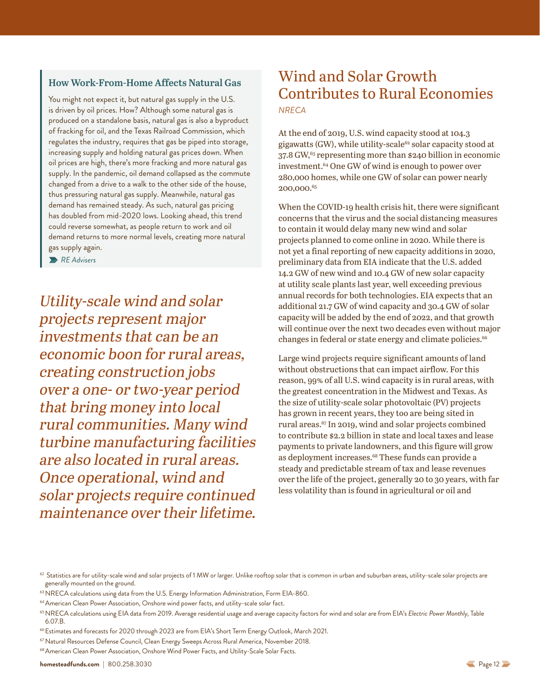#### <span id="page-11-0"></span>**How Work-From-Home Affects Natural Gas**

You might not expect it, but natural gas supply in the U.S. is driven by oil prices. How? Although some natural gas is produced on a standalone basis, natural gas is also a byproduct of fracking for oil, and the Texas Railroad Commission, which regulates the industry, requires that gas be piped into storage, increasing supply and holding natural gas prices down. When oil prices are high, there's more fracking and more natural gas supply. In the pandemic, oil demand collapsed as the commute changed from a drive to a walk to the other side of the house, thus pressuring natural gas supply. Meanwhile, natural gas demand has remained steady. As such, natural gas pricing has doubled from mid-2020 lows. Looking ahead, this trend could reverse somewhat, as people return to work and oil demand returns to more normal levels, creating more natural gas supply again.

*RE Advisers*

Utility-scale wind and solar projects represent major investments that can be an economic boon for rural areas, creating construction jobs over a one- or two-year period that bring money into local rural communities. Many wind turbine manufacturing facilities are also located in rural areas. Once operational, wind and solar projects require continued maintenance over their lifetime.

# Wind and Solar Growth Contributes to Rural Economies *NRECA*

At the end of 2019, U.S. wind capacity stood at 104.3 gigawatts (GW), while utility-scale<sup>62</sup> solar capacity stood at 37.8 GW,<sup>63</sup> representing more than \$240 billion in economic investment.<sup>64</sup> One GW of wind is enough to power over 280,000 homes, while one GW of solar can power nearly 200,000.65

When the COVID-19 health crisis hit, there were significant concerns that the virus and the social distancing measures to contain it would delay many new wind and solar projects planned to come online in 2020. While there is not yet a final reporting of new capacity additions in 2020, preliminary data from EIA indicate that the U.S. added 14.2 GW of new wind and 10.4 GW of new solar capacity at utility scale plants last year, well exceeding previous annual records for both technologies. EIA expects that an additional 21.7 GW of wind capacity and 30.4 GW of solar capacity will be added by the end of 2022, and that growth will continue over the next two decades even without major changes in federal or state energy and climate policies.<sup>66</sup>

Large wind projects require significant amounts of land without obstructions that can impact airflow. For this reason, 99% of all U.S. wind capacity is in rural areas, with the greatest concentration in the Midwest and Texas. As the size of utility-scale solar photovoltaic (PV) projects has grown in recent years, they too are being sited in rural areas.<sup>67</sup> In 2019, wind and solar projects combined to contribute \$2.2 billion in state and local taxes and lease payments to private landowners, and this figure will grow as deployment increases.<sup>68</sup> These funds can provide a steady and predictable stream of tax and lease revenues over the life of the project, generally 20 to 30 years, with far less volatility than is found in agricultural or oil and

<sup>66</sup> Estimates and forecasts for 2020 through 2023 are from EIA's Short Term Energy Outlook, March 2021.

 $^{62}$  Statistics are for utility-scale wind and solar projects of 1 MW or larger. Unlike rooftop solar that is common in urban and suburban areas, utility-scale solar projects are generally mounted on the ground.

<sup>&</sup>lt;sup>63</sup> NRECA calculations using data from the U.S. Energy Information Administration, Form EIA-860.

<sup>64</sup>American Clean Power Association, Onshore wind power facts, and utility-scale solar fact.

<sup>65</sup>NRECA calculations using EIA data from 2019. Average residential usage and average capacity factors for wind and solar are from EIA's *Electric Power Monthly,* Table 6.07.B.

<sup>67</sup> Natural Resources Defense Council, Clean Energy Sweeps Across Rural America, November 2018.

<sup>&</sup>lt;sup>68</sup> American Clean Power Association, Onshore Wind Power Facts, and Utility-Scale Solar Facts.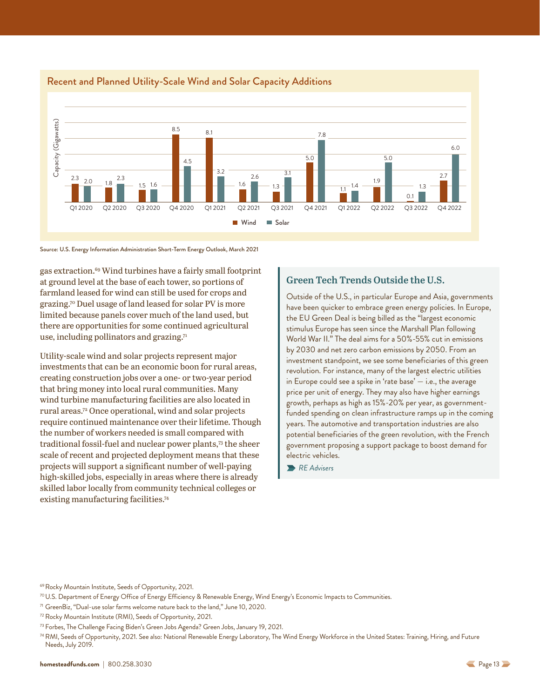

#### <span id="page-12-0"></span>Recent and Planned Utility-Scale Wind and Solar Capacity Additions

Source: U.S. Energy Information Administration Short-Term Energy Outlook, March 2021

gas extraction.69 Wind turbines have a fairly small footprint at ground level at the base of each tower, so portions of farmland leased for wind can still be used for crops and grazing.70 Duel usage of land leased for solar PV is more limited because panels cover much of the land used, but there are opportunities for some continued agricultural use, including pollinators and grazing. $71$ 

Utility-scale wind and solar projects represent major investments that can be an economic boon for rural areas, creating construction jobs over a one- or two-year period that bring money into local rural communities. Many wind turbine manufacturing facilities are also located in rural areas.72 Once operational, wind and solar projects require continued maintenance over their lifetime. Though the number of workers needed is small compared with traditional fossil-fuel and nuclear power plants,<sup>73</sup> the sheer scale of recent and projected deployment means that these projects will support a significant number of well-paying high-skilled jobs, especially in areas where there is already skilled labor locally from community technical colleges or existing manufacturing facilities.74

#### **Green Tech Trends Outside the U.S.**

Outside of the U.S., in particular Europe and Asia, governments have been quicker to embrace green energy policies. In Europe, the EU Green Deal is being billed as the "largest economic stimulus Europe has seen since the Marshall Plan following World War II." The deal aims for a 50%-55% cut in emissions by 2030 and net zero carbon emissions by 2050. From an investment standpoint, we see some beneficiaries of this green revolution. For instance, many of the largest electric utilities in Europe could see a spike in 'rate base'  $-$  i.e., the average price per unit of energy. They may also have higher earnings growth, perhaps as high as 15%-20% per year, as governmentfunded spending on clean infrastructure ramps up in the coming years. The automotive and transportation industries are also potential beneficiaries of the green revolution, with the French government proposing a support package to boost demand for electric vehicles.

*RE Advisers*

<sup>&</sup>lt;sup>69</sup> Rocky Mountain Institute, Seeds of Opportunity, 2021.

<sup>&</sup>lt;sup>70</sup> U.S. Department of Energy Office of Energy Efficiency & Renewable Energy, Wind Energy's Economic Impacts to Communities.

<sup>71</sup> GreenBiz, "Dual-use solar farms welcome nature back to the land," June 10, 2020.

<sup>72</sup> Rocky Mountain Institute (RMI), Seeds of Opportunity, 2021.

<sup>73</sup> Forbes, The Challenge Facing Biden's Green Jobs Agenda? Green Jobs, January 19, 2021.

<sup>74</sup> RMI, Seeds of Opportunity, 2021. See also: National Renewable Energy Laboratory, The Wind Energy Workforce in the United States: Training, Hiring, and Future Needs, July 2019.